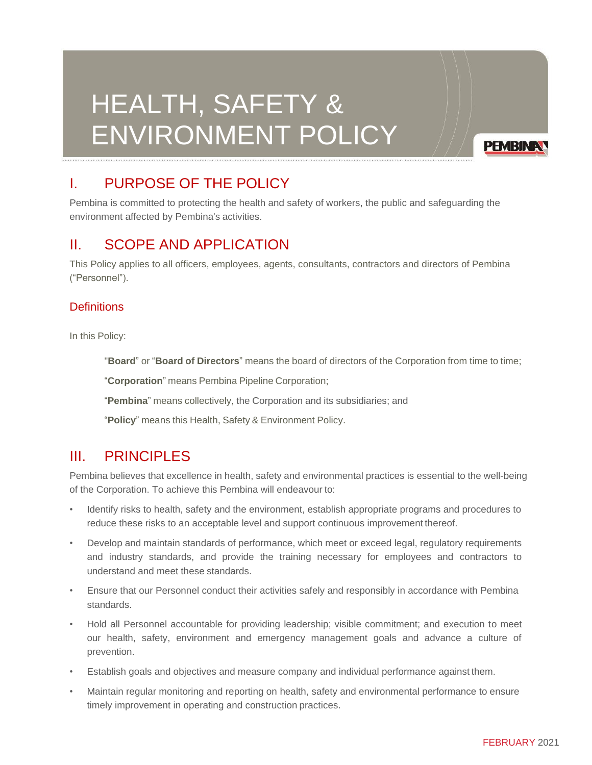# HEALTH, SAFETY & ENVIRONMENT POLICY

**PEMBINA** 

# I. PURPOSE OF THE POLICY

Pembina is committed to protecting the health and safety of workers, the public and safeguarding the environment affected by Pembina's activities.

# II. SCOPE AND APPLICATION

This Policy applies to all officers, employees, agents, consultants, contractors and directors of Pembina ("Personnel").

#### **Definitions**

In this Policy:

"**Board**" or "**Board of Directors**" means the board of directors of the Corporation from time to time;

"**Corporation**" means Pembina Pipeline Corporation;

"**Pembina**" means collectively, the Corporation and its subsidiaries; and

"**Policy**" means this Health, Safety & Environment Policy.

### III. PRINCIPI FS

Pembina believes that excellence in health, safety and environmental practices is essential to the well-being of the Corporation. To achieve this Pembina will endeavour to:

- Identify risks to health, safety and the environment, establish appropriate programs and procedures to reduce these risks to an acceptable level and support continuous improvement thereof.
- Develop and maintain standards of performance, which meet or exceed legal, regulatory requirements and industry standards, and provide the training necessary for employees and contractors to understand and meet these standards.
- Ensure that our Personnel conduct their activities safely and responsibly in accordance with Pembina standards.
- Hold all Personnel accountable for providing leadership; visible commitment; and execution to meet our health, safety, environment and emergency management goals and advance a culture of prevention.
- Establish goals and objectives and measure company and individual performance against them.
- Maintain regular monitoring and reporting on health, safety and environmental performance to ensure timely improvement in operating and construction practices.